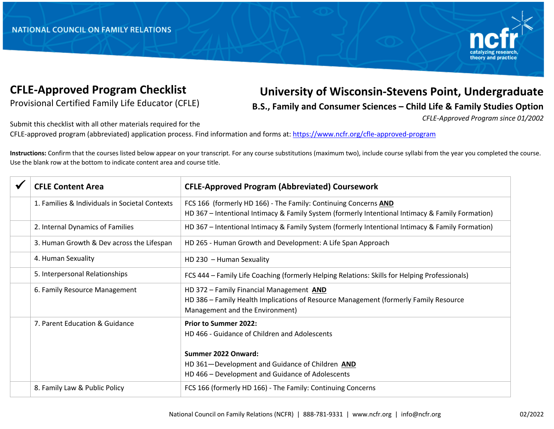

## **CFLE-Approved Program Checklist**

Provisional Certified Family Life Educator (CFLE)

## **University of Wisconsin-Stevens Point, Undergraduate**

**B.S., Family and Consumer Sciences – Child Life & Family Studies Option**

*CFLE-Approved Program since 01/2002* 

Submit this checklist with all other materials required for the

CFLE-approved program (abbreviated) application process. Find information and forms at: https://www.ncfr.org/cfle-approved-program

**Instructions:** Confirm that the courses listed below appear on your transcript. For any course substitutions (maximum two), include course syllabi from the year you completed the course. Use the blank row at the bottom to indicate content area and course title.

| <b>CFLE Content Area</b>                       | <b>CFLE-Approved Program (Abbreviated) Coursework</b>                                                                                                               |
|------------------------------------------------|---------------------------------------------------------------------------------------------------------------------------------------------------------------------|
| 1. Families & Individuals in Societal Contexts | FCS 166 (formerly HD 166) - The Family: Continuing Concerns AND<br>HD 367 - Intentional Intimacy & Family System (formerly Intentional Intimacy & Family Formation) |
| 2. Internal Dynamics of Families               | HD 367 - Intentional Intimacy & Family System (formerly Intentional Intimacy & Family Formation)                                                                    |
| 3. Human Growth & Dev across the Lifespan      | HD 265 - Human Growth and Development: A Life Span Approach                                                                                                         |
| 4. Human Sexuality                             | HD 230 - Human Sexuality                                                                                                                                            |
| 5. Interpersonal Relationships                 | FCS 444 - Family Life Coaching (formerly Helping Relations: Skills for Helping Professionals)                                                                       |
| 6. Family Resource Management                  | HD 372 - Family Financial Management AND<br>HD 386 - Family Health Implications of Resource Management (formerly Family Resource<br>Management and the Environment) |
| 7. Parent Education & Guidance                 | <b>Prior to Summer 2022:</b><br>HD 466 - Guidance of Children and Adolescents<br>Summer 2022 Onward:<br>HD 361-Development and Guidance of Children AND             |
|                                                | HD 466 - Development and Guidance of Adolescents                                                                                                                    |
| 8. Family Law & Public Policy                  | FCS 166 (formerly HD 166) - The Family: Continuing Concerns                                                                                                         |